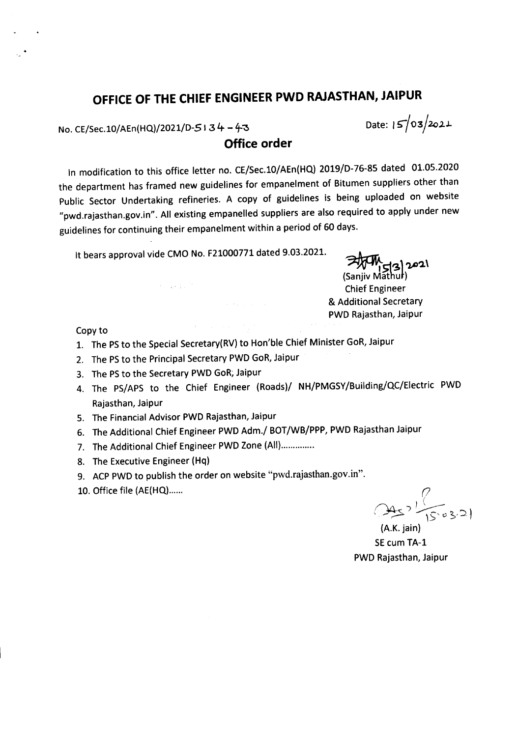# **OFFICE OF THE CHIEF ENGINEER PWD RAJASTHAN, JAIPUR**

No. CE/Sec.10/AEn(HQ)/2021/D-5134 - 4-3

Date: 15/03/2021

**Office order**

In modification to this office letter no. CE/Sec.l0/AEn(HQ) 2019/D-76-85 dated 01.05.2020 the department has framed new guidelines for empanelment of Bitumen suppliers other than Public Sector Undertaking refineries. A copy of guidelines is being uploaded on website "pwd.rajasthan.gov.in". All existing empanelled suppliers are also required to apply under new guidelines for continuing their empanelment within a period of 60 days.

It bears approval vide CMO No. F21000771 dated 9.03.2021.<br>(Sanjiv Mathur)<br>Chief Engineer

Chief Engineer & Additional Secretary PWD Rajasthan, Jaipur

Copy to

- 1. The PS to the Special Secretary(RV) to Hon'ble Chief Minister GoR, Jaipur
- 2. The PS to the Principal Secretary PWD GoR, Jaipur
- 3. The PS to the Secretary PWD GoR; Jaipur
- 4. The PS/APS to the Chief Engineer (Roads)/ NH/PMGSY/Building/QC/Electric PWD Rajasthan, Jaipur
- 5. The Financial Advisor PWD Rajasthan, Jaipur
- 6. The Additional Chief Engineer PWD Adm./ BOT/WB/PPP, PWD Rajasthan Jaipur
- 7. The Additional Chief Engineer PWD Zone (All)..............
- 8. The Executive Engineer (Hq)
- 9. ACP PWD to publish the order on website "pwd.rajasthan.gov.in".
- 10. Office file (AE(HQ)...... *r;*

 $(4.5)$   $\frac{1}{5}$   $63.21$ 

 $(A.K.$  jain) SEcum TA-l PWD Rajasthan, Jaipur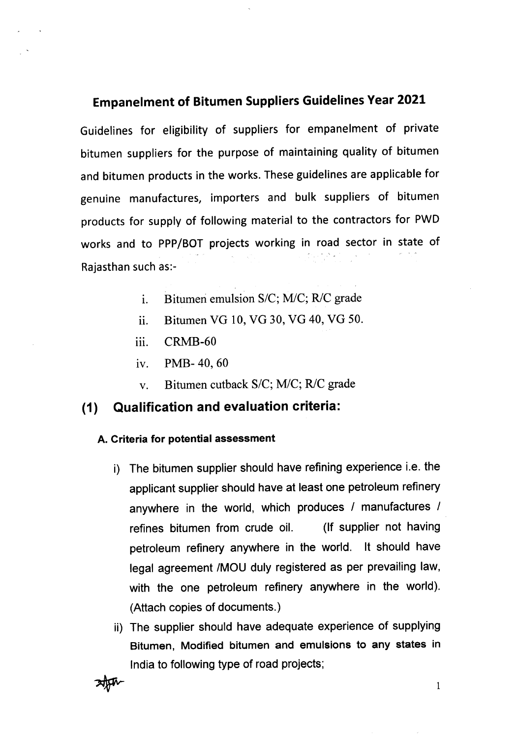# Empanelment of Bitumen Suppliers Guidelines Year 2021

Guidelines for eligibility of suppliers for empanelment of private bitumen suppliers for the purpose of maintaining quality of bitumen and bitumen products in the works. These guidelines are applicable for genuine manufactures, importers and bulk suppliers of bitumen products for supply of following material to the contractors for PWD works and to PPP/BOT projects working in road sector in state of Rajasthan such as:-

- 1. Bitumeri emulsion *SIC; MlC; RIC* grade
- ii. Bitumen VG 10, VG 30, VG 40, VG 50.
- iii. CRMB-60
- iv. PMB- 40, 60
- v. Bitumen cutback *SIC; MlC; RIC* grade

# (1) Qualification and evaluationcriteria:

#### A. Criteria for potential assessment

- i) The bitumen supplier should have refining experience i.e. the applicant supplier should have at least one petroleum refinery anywhere in the world, which produces *I* manufactures *I* refines bitumen from crude oil. (If supplier not having petroleum refinery anywhere in the world. It should have legal agreement /MOU duly registered as per prevailing law, with the one petroleum refinery anywhere in the world). (Attach copies of documents.)
- ii) The supplier should have adequate experience of supplying Bitumen, Modified bitumen and emulsions to any states in India to following type of road projects; Bitumen, Modified bitumen and emulsions to any states in<br>India to following type of road projects;<br> $\frac{1}{2}$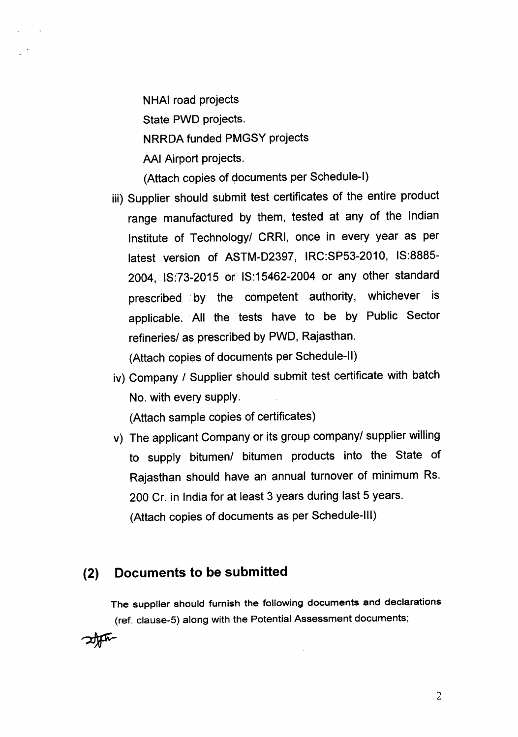NHAl road projects State PWD projects. NRRDA funded PMGSY projects AAI Airport projects.

(Attach copies of documents per Schedule-I)

- iii) Supplier should submit test certificates of the entire product range manufactured by them, tested at any of the Indian Institute of Technology/ CRRI, once in every year as per latest version of ASTM-D2397, IRC:SP53-2010, IS:8885- 2004, IS:73-2015 or IS:15462-2004 or any other standard prescribed by the competent authority, whichever is applicable. All the tests have to be by Public Sector refineries/ as prescribed by PWD, Rajasthan. (Attach copies of documents per Schedule-II)
- iv) Company / Supplier should submit test certificate with batch No. with every supply.

(Attach sample copies of certificates)

v) The applicant Company or its group company/ supplier willing to supply bitumen/ bitumen products into the State of Rajasthan should have an annual turnover of minimum Rs. 200 Cr. in India for at least 3 years during last 5 years. (Attach copies of documents as per Schedule-III)

# **(2) Documents to be submitted**

The supplier should furnish the following documents and declarations (ref. clause-5) along with the Potential Assessment documents;

2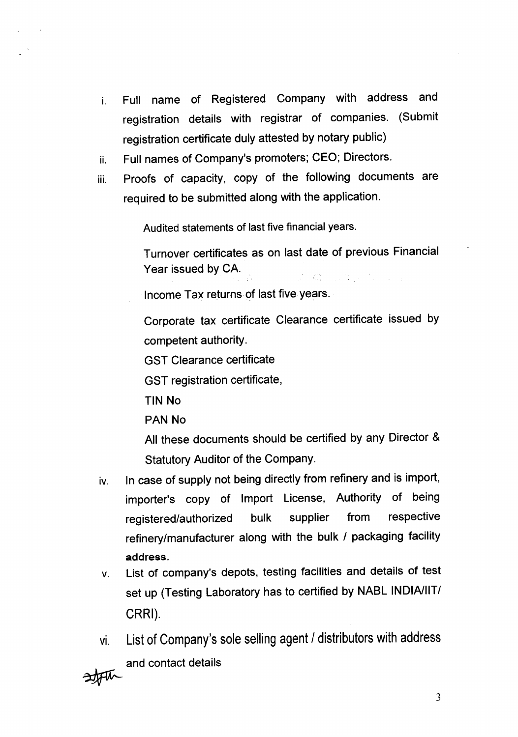- i. Full name of Registered Company with address and registration details with registrar of companies. (Submit registration certificate duly attested by notary public)
- ii. Full names of Company's promoters; CEO; Directors.
- iii. Proofs of capacity, copy of the following documents are required to be submitted along with the application.

Audited statements of last five financial years.

Turnover certificates as on last date of previous Financial Year issued by CA. 

Income Tax returns of last five years.

Corporate tax certificate Clearance certificate issued by competent authority.

GST Clearance certificate

GST registration certificate,

TIN No

PAN No

All these documents should be certified by any Director & Statutory Auditor of the Company.

- iv. In case of supply not being directly from refinery and is import, importer's copy of Import License, Authority of being registered/authorized bulk supplier from respective refinery/manufacturer along with the bulk / packaging facility address.
- v. List of company's depots, testing facilities and details of test set up (Testing Laboratory has to certified by NABL INDIA/IIT/ CRRI).

vi. List of Company's sole selling agent / distributors with address and contact details

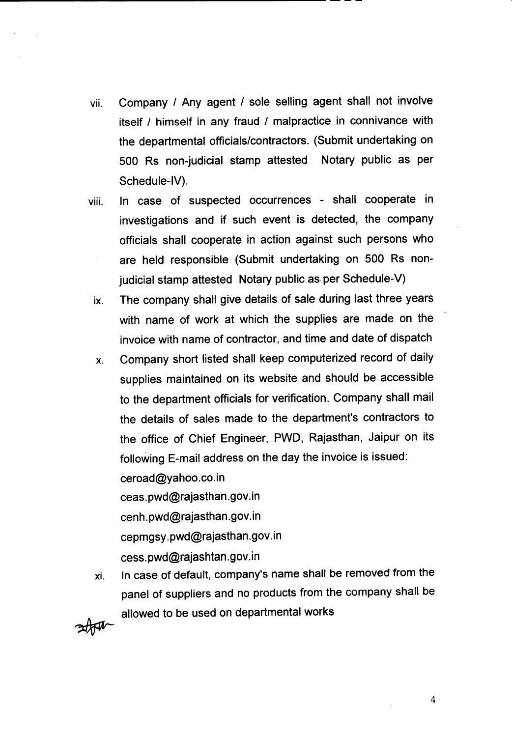vii. Company / Any agent / sole selling agent shall not involve itself / himself in any fraud / malpractice in connivance with the departmental officials/contractors. (Submit undertaking on 500 Rs non-judicial stamp attested Notary public as per Schedule-IV).

--------------------------------------------------

- viii. In case of suspected occurrences shall cooperate in investigations and if such event is detected, the company officials shall cooperate in action against such persons who are held responsible (Submit undertaking on 500 Rs nonjudicial stamp attested Notary public as per Schedule-V)
	- ix. The company shall give details of sale during last three years with name of work at which the supplies are made on the invoice with name of contractor, and time and date of dispatch
	- x. Company short listed shall keep computerized record of daily supplies maintained on its website and should be accessible to the department officials for verification. Company shall mail the details of sales made to the department's contractors to the office of Chief Engineer, PWD, Rajasthan, Jaipur on its following E-mail address on the day the invoice is issued: ceroad@yahoo.co.in ceas.pwd@rajasthan.gov.in

cenh.pwd@rajasthan.gov.in cepmgsy.pwd@rajasthan.gov.in cess.pWd@rajashtan.gov.in

In case of default, company's name shall be removed from the panel of suppliers and no products from the company shall be xi. allowed to be used on departmental works



4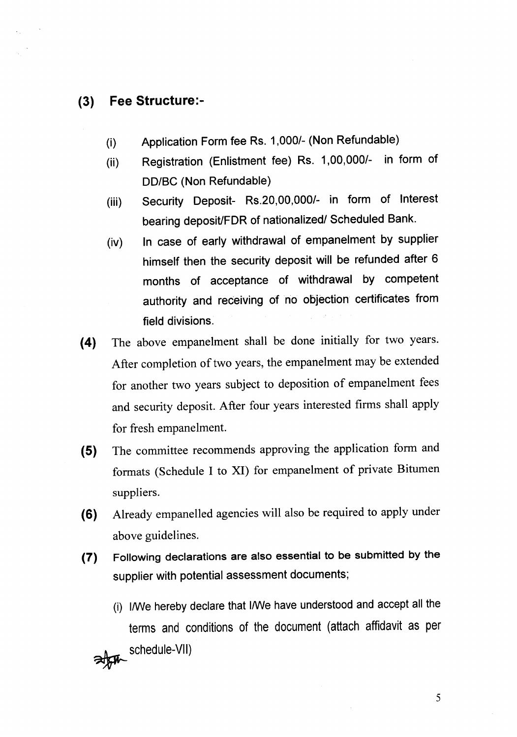# **(3) Fee Structure:-**

- (i) Application Form fee Rs. *1,0001-* (Non Refundable)
- (ii) Registration (Enlistment fee) Rs. *1,00,0001-* in form of DD/BC (Non Refundable)
- (iii) Security Oeposit- *Rs.20,00,0001-* in form of Interest bearing deposit/FDR of nationalized/ Scheduled Bank.
- (iv) In case of early withdrawal of empanelment by supplier himself then the security deposit will be refunded after 6 months of acceptance of withdrawal by competent authority and receiving of no objection certificates from field divisions.
- **(4)** The above empanelment shall be done initially for two years. After completion of two years, the empanelment may be extended for another two years subject to deposition of empanelment fees and security deposit. After four years interested firms shall apply for fresh empanelment.
- **(5)** The committee recommends approving the application form and formats (Schedule I to XI) for empanelment of private Bitumen suppliers.
- **(6)** Already empanelled agencies will also be required to apply under above guidelines.
- **(7)** Following declarations are also essential to be submitted by the supplier with potential assessment documents;
	- (i) I/We hereby declare that I/We have understood and accept all the terms and conditions of the document (attach affidavit as per schedule-VII)

5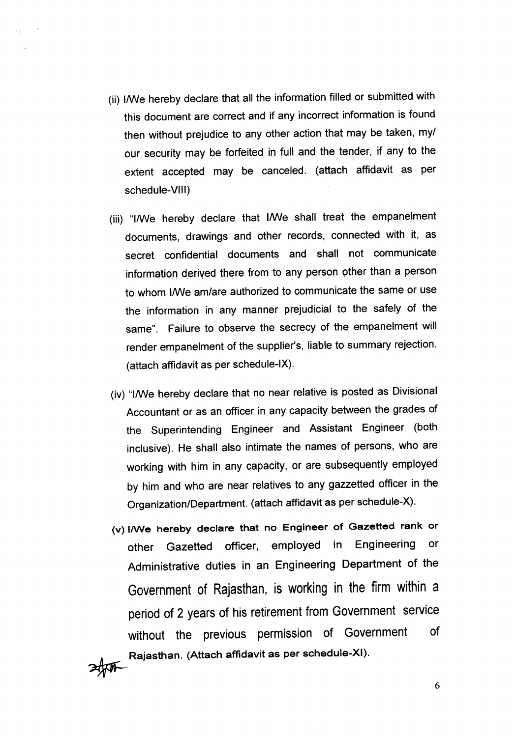(ii) I/We hereby declare that all the information filled or submitted with this document are correct and if any incorrect information is found then without prejudice to any other action that may be taken, my/ our security may be forfeited in full and the tender, if any to the extent accepted may be canceled. (attach affidavit as per schedule-VIII)

 $\sim$  .

- (iii) "I/We hereby declare that I/We shall treat the empanelment documents, drawings and other records, connected with it, as secret confidential documents and shall not communicate information derived there from to any person other than a person to whom I/We am/are authorized to communicate the same or use the information in any manner prejudicial to the safely of the same". Failure to observe the secrecy of the empanelment will render empanelment of the supplier's, liable to summary rejection. (attach affidavit as per schedule-IX).
- (iv) "I/We hereby declare that no near relative is posted as Divisional Accountant or as an officer in any capacity between the grades of the Superintending Engineer and Assistant Engineer (both inclusive). He shall also intimate the names of persons, who are working with him in any capacity, or are subsequently employed by him and who are near relatives to any gazzetted officer in the Organization/Department. (attach affidavit as per schedule-X).
- (v) I/We hereby declare that no Engineer of Gazetted rank or other Gazetted officer, employed in Engineering or Administrative duties in an Engineering Department of the Government of Rajasthan, is working in the firm within a period of 2 years of his retirement from Government service without the previous permission of Government of ~ Rajasthan. (Attach affidavit as per schedule-XI).

6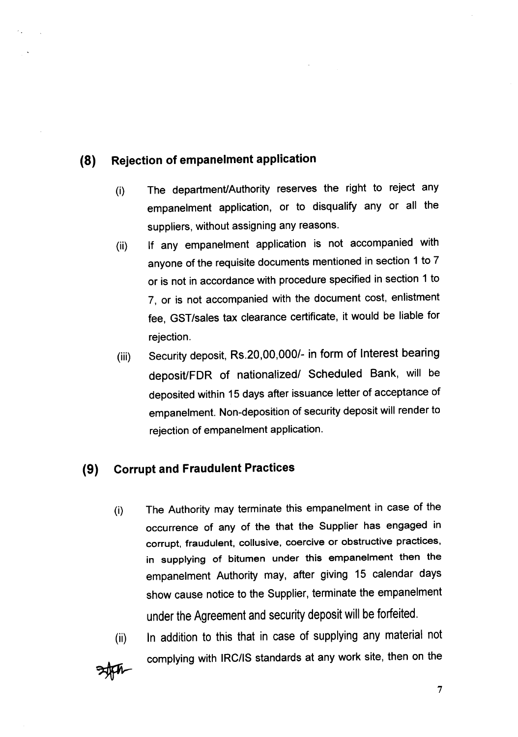# **(8) Rejection of empanelment application**

 $\cdot$  .  $\sim 10$ 

- (i) The department/Authority reserves the right to reject any empanelment application, or to disqualify any or all the suppliers, without assigning any reasons.
- (ii) If any empanelment application is not accompanied with anyone of the requisite documents mentioned in section 1 to 7 or is not in accordance with procedure specified in section 1 to 7, or is not accompanied with the document cost, enlistment fee, GST/sales tax clearance certificate, it would be liable for rejection.
- (iii) Security deposit, Rs.20,OO,OOO/-in form of Interest bearing deposit/FDR of nationalized/ Scheduled Bank, will be deposited within 15 days after issuance letter of acceptance of empanelment. Non-deposition of security deposit will render to rejection of empanelment application.

# **(9) Corrupt and Fraudulent Practices**

(i) The Authority may terminate this empanelment in case of the occurrence of any of the that the Supplier has engaged in corrupt, fraudulent, collusive, coercive or obstructive practices, in supplying of bitumen under this empanelment then the empanelment Authority may, after giving 15 calendar days show cause notice to the Supplier, terminate the empanelment under the Agreement and security deposit will be forfeited.

(ii) In addition to this that in case of supplying any material not complying with IRC/IS standards at any work site, then on the

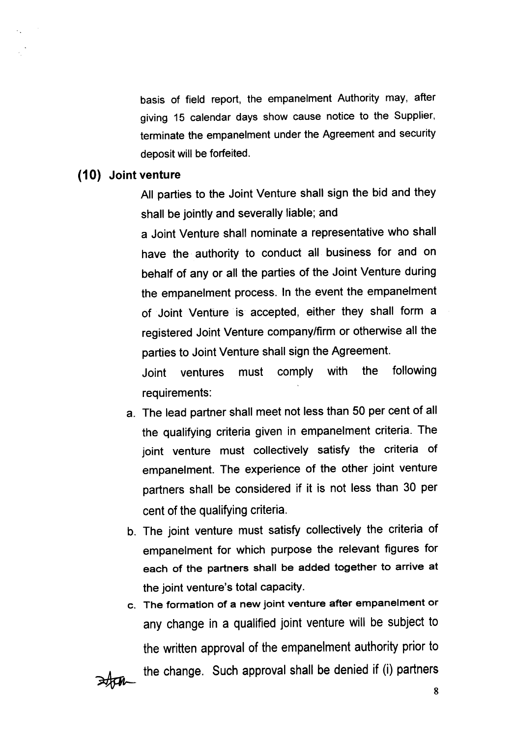basis of field report, the empanelment Authority may, after giving 15 calendar days show cause notice to the Supplier, terminate the empanelment under the Agreement and security deposit will be forfeited.

# **(10) Joint venture**

 $\mathbb{Z}_2$ 

All parties to the Joint Venture shall sign the bid and they shall be jointly and severally liable; and

a Joint Venture shall nominate a representative who shall have the authority to conduct all business for and on behalf of any or all the parties of the Joint Venture during the empanelment process. In the event the empanelment of Joint Venture is accepted, either they shall form a registered Joint Venture companylfirm or otherwise all the parties to Joint Venture shall sign the Agreement.

Joint ventures must comply with the following requirements:

- a. The lead partner shall meet not less than 50 per cent of all the qualifying criteria given in empanelment criteria. The joint venture must collectively satisfy the criteria of empanelment. The experience of the other joint venture partners shall be considered if it is not less than 30 per cent of the qualifying criteria.
- b. The joint venture must satisfy collectively the criteria of empanelment for which purpose the relevant figures for each of the partners shall be added together to arrive at the joint venture's total capacity.
- c. The formation of a new joint venture after empanelment or any change in a qualified joint venture will be subject to the written approval of the empanelment authority prior to the change. Such approval shall be denied if (i) partners

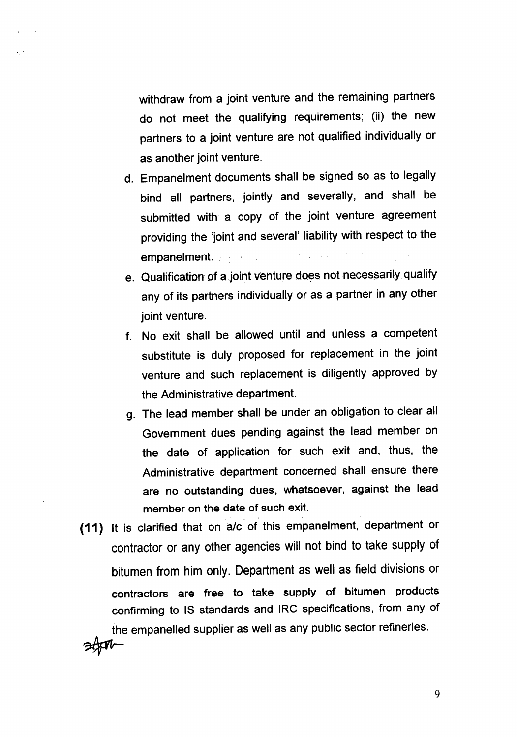withdraw from a joint venture and the remaining partners do not meet the qualifying requirements; (ii) the new partners to a joint venture are not qualified individually or as another joint venture.

 $\epsilon_{\rm in}$ 

- d. Empanelment documents shall be signed so as to legally bind all partners, jointly and severally, and shall be submitted with a copy of the joint venture agreement providing the 'joint and several' liability with respect to the 法加速用 不信 empanelment.
- e. Oualitication of.a.ioint venture does.not necessarily qualify any of its partners individually or as a partner in any other joint venture.
- f. No exit shall be allowed until and unless a competent substitute is duly proposed for replacement in the joint venture and such replacement is diligently approved by the Administrative department.
- g. The lead member shall be under an obligation to clear all Government dues pending against the lead member on the date of application for such exit and, thus, the Administrative department concerned shall ensure there are no outstanding dues, Whatsoever, against the lead member on the date of such exit.
- **(11)** It is clarified that on *ale* of this empanelment, department or contractor or any other agencies will not bind to take supply of bitumen from him only. Department as well as field divisions or contractors are free to take supply of bitumen products confirming to IS standards and IRC specifications, from any of the empanelled supplier as well as any public sector refineries. ~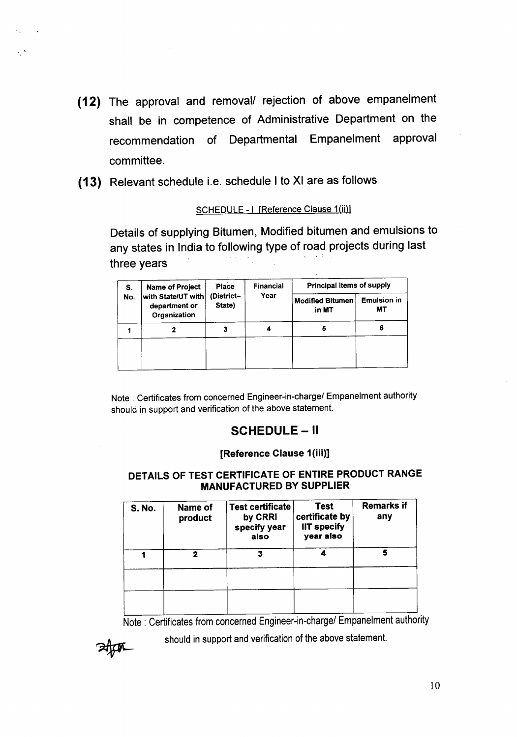- (12) The approval and removal/ rejection of above empanelment shall be in competence of Administrative Department on the recommendation of Departmental Empanelment approval committee.
- (13) Relevant schedule i.e. schedule I to XI are as follows

 $\sigma_{\rm 2}$  ,  $\sigma_{\rm 1}$  ,  $\sigma_{\rm 2}$ 

### SCHEDULE - I [Reference Clause 1(ii)]

Details of supplying Bitumen, Modified bitumen and emulsions to any states in India to following type of road projects during last three years

| S.  | <b>Name of Project</b>                              | Place                | <b>Financial</b> | Principal Items of supply        |                          |
|-----|-----------------------------------------------------|----------------------|------------------|----------------------------------|--------------------------|
| No. | with State/UT with<br>department or<br>Organization | (District-<br>State) | Year             | <b>Modified Bitumen</b><br>in MT | <b>Emulsion in</b><br>МT |
|     | 7                                                   |                      |                  |                                  | 6                        |
|     |                                                     |                      |                  |                                  |                          |

Note: Certificates from concerned Engineer-in-charge/ Empanelment authority should in support and verification of the above statement.

# SCHEDULE - II

### [Reference Clause 1(iii)]

### DETAILS OF TEST CERTIFICATE OF ENTIRE PRODUCT RANGE **MANUFACTURED BY SUPPLIER**

| <b>S. No.</b> | Name of<br>product | <b>Test certificate</b><br>by CRRI<br>specify year<br>also | <b>Test</b><br>certificate by<br><b>IIT specify</b><br>year also | <b>Remarks if</b><br>any |  |
|---------------|--------------------|------------------------------------------------------------|------------------------------------------------------------------|--------------------------|--|
|               | 2                  | 3                                                          |                                                                  | 5                        |  |
|               |                    |                                                            |                                                                  |                          |  |
|               |                    |                                                            |                                                                  |                          |  |

Note: Certificates from concerned Engineer-in-charge/ Empanelment authority

should in support and verification of the above statement.

ttar

10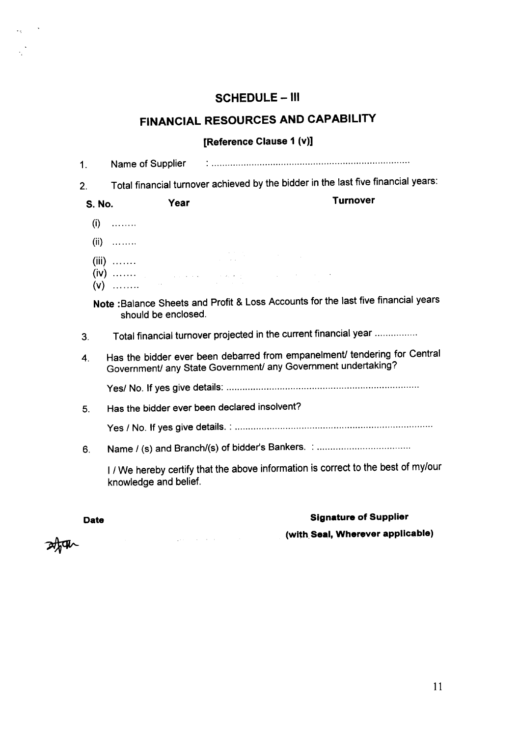# SCHEDULE - III

# FINANCIAL RESOURCES AND CAPABILITY

# [Reference Clause 1 (v)]

| $\mathbf 1$ . |                                                                                                                                                                                         |
|---------------|-----------------------------------------------------------------------------------------------------------------------------------------------------------------------------------------|
| 2.            | Total financial turnover achieved by the bidder in the last five financial years:                                                                                                       |
| <b>S. No.</b> | <b>Turnover</b><br>Year                                                                                                                                                                 |
|               | $(i)$                                                                                                                                                                                   |
|               | $(ii)$                                                                                                                                                                                  |
|               | $\mathcal{L}^{\mathcal{L}}(\mathcal{L}^{\mathcal{L}})$ and $\mathcal{L}^{\mathcal{L}}(\mathcal{L}^{\mathcal{L}})$ and $\mathcal{L}^{\mathcal{L}}(\mathcal{L}^{\mathcal{L}})$<br>$(iii)$ |
|               | $(V)$ $V$                                                                                                                                                                               |
|               | Note: Balance Sheets and Profit & Loss Accounts for the last five financial years<br>should be enclosed.                                                                                |
| 3.            | Total financial turnover projected in the current financial year                                                                                                                        |
| 4.            | Has the bidder ever been debarred from empanelment/ tendering for Central<br>Government/ any State Government/ any Government undertaking?                                              |
|               |                                                                                                                                                                                         |
| 5.            | Has the bidder ever been declared insolvent?                                                                                                                                            |
|               |                                                                                                                                                                                         |
| 6.            |                                                                                                                                                                                         |
|               | I / We hereby certify that the above information is correct to the best of my/our<br>knowledge and belief.                                                                              |
|               |                                                                                                                                                                                         |

 $\label{eq:1} \frac{1}{2}\sum_{i=1}^n\sum_{j=1}^n\left(\frac{1}{2}\sum_{j=1}^n\sum_{j=1}^n\frac{1}{2}\sum_{j=1}^n\sum_{j=1}^n\frac{1}{2}\sum_{j=1}^n\frac{1}{2}\sum_{j=1}^n\frac{1}{2}\sum_{j=1}^n\frac{1}{2}\sum_{j=1}^n\frac{1}{2}\sum_{j=1}^n\frac{1}{2}\sum_{j=1}^n\frac{1}{2}\sum_{j=1}^n\frac{1}{2}\sum_{j=1}^n\frac{1}{2}\sum_{j=1}^n\frac{1$ 

# Date **Signature of Supplier**

(with Seal, Wherever applicable)

冰肌

 $\omega_{\rm{eff}}=2.8$ 

 $\frac{1}{2}$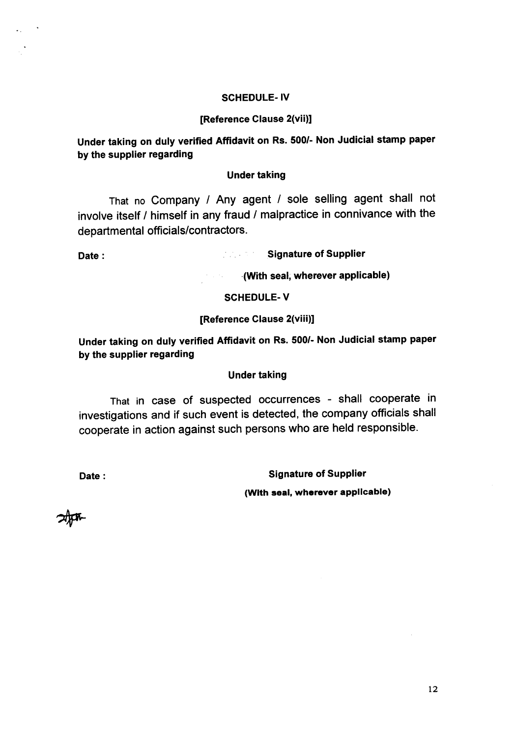#### SCHEDULE- IV

#### [Reference Clause 2(vii)]

Under taking on duly verified Affidavit on Rs. *500/-* Non Judicial stamp paper by the supplier regarding

#### Under taking

That no Company / Any agent / sole selling agent shall not involve itself / himself in any fraud / malpractice in connivance with the departmental officials/contractors.

 $\mathcal{L}_{\rm{max}}$ 

Date: Signature of Supplier

-(With seal, wherever applicable)

#### SCHEDULE-V

 $\mathcal{F}(\mathcal{A},\mathcal{F},\mathcal{C})$ 

#### [Reference Clause 2(viii)]

Under taking on duly verified Affidavit on Rs. *500/-* Non Judicial stamp paper by the supplier regarding

#### Under taking

That in case of suspected occurrences - shall cooperate in investigations and if such event is detected, the company officials shall cooperate in action against such persons who are held responsible.

Date: Signature of Supplier

(With seal. wherever applicable)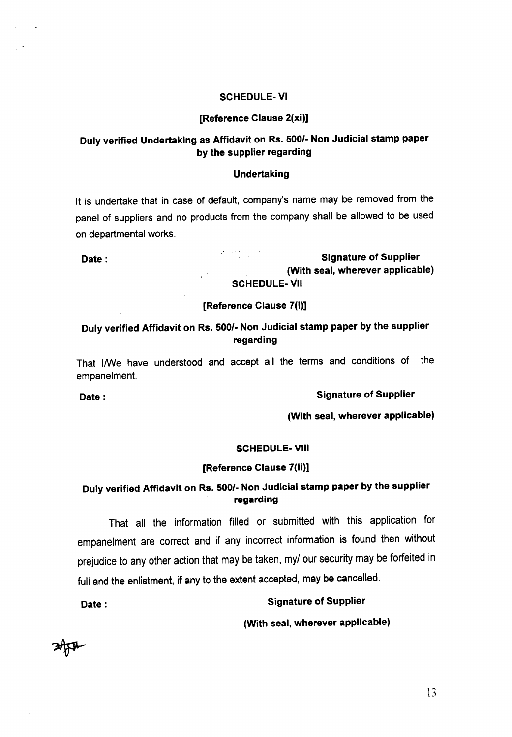#### SCHEDULE- VI

#### [Reference Clause 2(xi)]

# Duly verified Undertaking as Affidavit on Rs. *500/-* Non Judicial stamp paper by the supplier regarding

#### Undertaking

It is undertake that in case of default, company's name may be removed from the panel of suppliers and no products from the company shall be allowed to be used on departmental works.

# Date: Signature of Supplier (With seal, wherever applicable) SCHEDULE-VII

#### [Reference Clause 7(i)]

# Duly verified Affidavit on Rs. *500/-* Non Judicial stamp paper by the supplier regarding

That I/We have understood and accept all the terms and conditions of the empanelment.

Date: Signature of Supplier

(With seal, wherever applicable)

#### SCHEDULE- VIII

#### [Reference Clause 7(ii)]

# Duly verified Affidavit on Rs. 500/- Non Judicial stamp paper by the supplier regarding

That all the information filled or submitted with this application for empanelment are correct and if any incorrect information is found then without prejudice to any other action that may be taken, my*I* our security may be forfeited in full and the enlistment, if any to the extent accepted, may be cancelled.

Date: Signature of Supplier

(With seal, wherever applicable)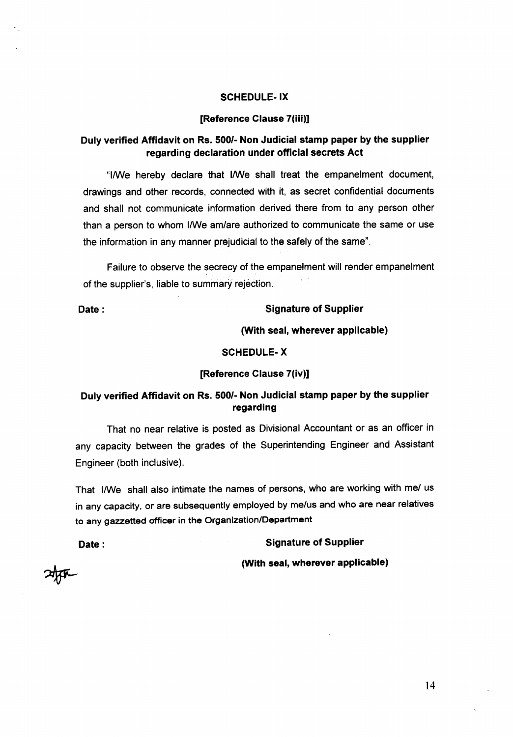### SCHEDULE- IX

#### [Reference Clause 7(iii)]

# Duly verified Affidavit on Rs. 500/- Non Judicial stamp paper by the supplier regarding declaration under official secrets Act

"I/We hereby declare that I/We shall treat the empanelment document, drawings and other records, connected with it, as secret confidential documents and shall not communicate information derived there from to any person other than a person to whom I/We am/are authorized to communicate the same or use the information in any manner prejudicial to the safely of the same".

Failure to observe the secrecy of the empanelment will render empanelment of the supplier's, liable to summary rejection.

#### Date: Signature of Supplier

(With seal, wherever applicable)

#### SCHEDULE-X

#### [Reference Clause 7(iv)]

### Duly verified Affidavit on Rs. 500/- Non Judicial stamp paper by the supplier regarding

That no near relative is posted as Divisional Accountant or as an officer in any capacity between the grades of the Superintending Engineer and Assistant Engineer (both inclusive).

That I/We shall also intimate the names of persons, who are working with me/ us in any capacity, or are subsequently employed by me/us and who are near relatives to any gazzetted officer in the Organization/Department

Date: Signature of Supplier

(With seal, wherever applicable)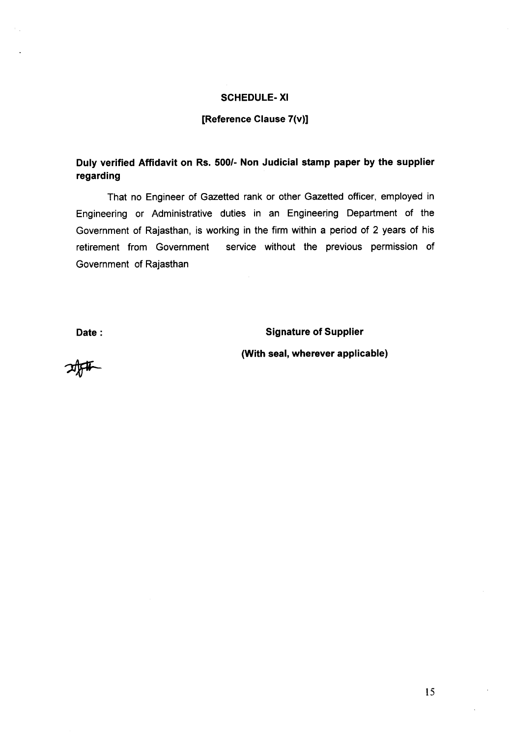#### **SCHEDULE- XI**

#### **[Reference Clause 7(v)]**

# **Duly verified Affidavit on Rs. 500/- Non Judicial stamp paper by the supplier regarding**

That no Engineer of Gazetted rank or other Gazetted officer, employed in Engineering or Administrative duties in an Engineering Department of the Government of Rajasthan, is working in the firm within a period of 2 years of his retirement from Government service without the previous permission of Government of Rajasthan

**Date: Signature of Supplier**

**(With seal, wherever applicable)**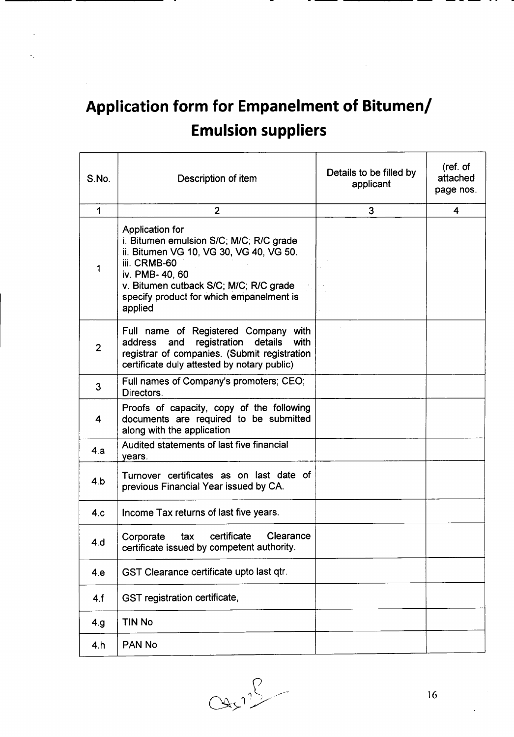# **Application form for Empanelment of Bitumenl Emulsion suppliers**

| S.No.          | Description of item                                                                                                                                                                                                                              | Details to be filled by<br>applicant | (ref. of<br>attached<br>page nos. |
|----------------|--------------------------------------------------------------------------------------------------------------------------------------------------------------------------------------------------------------------------------------------------|--------------------------------------|-----------------------------------|
| $\mathbf 1$    | $\overline{2}$                                                                                                                                                                                                                                   | 3                                    | 4                                 |
| 1              | <b>Application for</b><br>i. Bitumen emulsion S/C; M/C; R/C grade<br>ii. Bitumen VG 10, VG 30, VG 40, VG 50.<br>iii. CRMB-60<br>iv. PMB- 40, 60<br>v. Bitumen cutback S/C; M/C; R/C grade<br>specify product for which empanelment is<br>applied |                                      |                                   |
| $\overline{2}$ | Full name of Registered Company with<br>registration details<br>address<br>and<br>with<br>registrar of companies. (Submit registration<br>certificate duly attested by notary public)                                                            |                                      |                                   |
| 3              | Full names of Company's promoters; CEO;<br>Directors.                                                                                                                                                                                            |                                      |                                   |
| 4              | Proofs of capacity, copy of the following<br>documents are required to be submitted<br>along with the application                                                                                                                                |                                      |                                   |
| 4.a            | Audited statements of last five financial<br>years.                                                                                                                                                                                              |                                      |                                   |
| 4.b            | Turnover certificates as on last date of<br>previous Financial Year issued by CA.                                                                                                                                                                |                                      |                                   |
| 4.c            | Income Tax returns of last five years.                                                                                                                                                                                                           |                                      |                                   |
| 4.d            | certificate<br>Clearance<br>Corporate<br>tax<br>certificate issued by competent authority.                                                                                                                                                       |                                      |                                   |
| 4.e            | GST Clearance certificate upto last qtr.                                                                                                                                                                                                         |                                      |                                   |
| 4.f            | GST registration certificate,                                                                                                                                                                                                                    |                                      |                                   |
| 4.g.           | <b>TIN No</b>                                                                                                                                                                                                                                    |                                      |                                   |
| 4.h            | PAN No                                                                                                                                                                                                                                           |                                      |                                   |

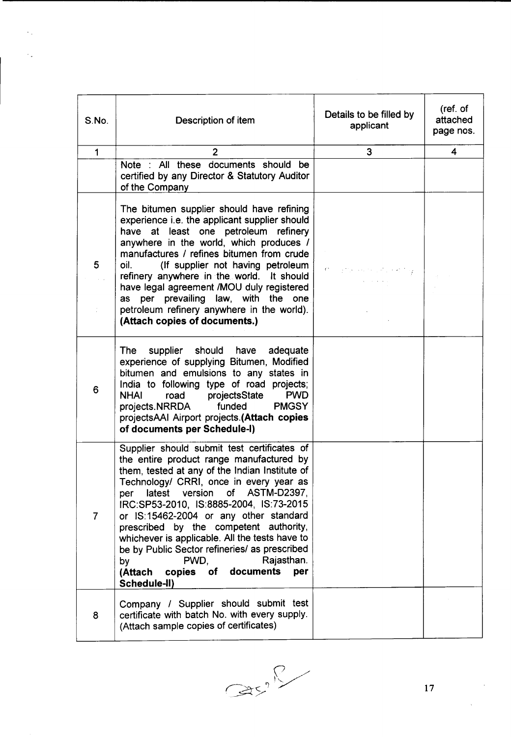| S.No.          | Description of item                                                                                                                                                                                                                                                                                                                                                                                                                                                                                                                                       | Details to be filled by<br>applicant                                                                                              | (ref. of<br>attached<br>page nos. |
|----------------|-----------------------------------------------------------------------------------------------------------------------------------------------------------------------------------------------------------------------------------------------------------------------------------------------------------------------------------------------------------------------------------------------------------------------------------------------------------------------------------------------------------------------------------------------------------|-----------------------------------------------------------------------------------------------------------------------------------|-----------------------------------|
| $\mathbf{1}$   | $\overline{2}$                                                                                                                                                                                                                                                                                                                                                                                                                                                                                                                                            | 3                                                                                                                                 | $\overline{\mathbf{4}}$           |
|                | Note : All these documents should be<br>certified by any Director & Statutory Auditor<br>of the Company                                                                                                                                                                                                                                                                                                                                                                                                                                                   |                                                                                                                                   |                                   |
| 5              | The bitumen supplier should have refining<br>experience i.e. the applicant supplier should<br>have at least one petroleum refinery<br>anywhere in the world, which produces /<br>manufactures / refines bitumen from crude<br>oil.<br>(If supplier not having petroleum<br>refinery anywhere in the world. It should<br>have legal agreement /MOU duly registered<br>as per prevailing law, with the one<br>petroleum refinery anywhere in the world).<br>(Attach copies of documents.)                                                                   | $\mathbf{C}^{\bullet}=\{C_{1},\cdots,C_{n}\}$ , and $\mathbf{C}=\{C_{1},\cdots,C_{n}\}$ , and $\mathbf{C}=\{C_{1},\cdots,C_{n}\}$ |                                   |
| 6              | <b>The</b><br>supplier should have<br>adequate<br>experience of supplying Bitumen, Modified<br>bitumen and emulsions to any states in<br>India to following type of road projects;<br><b>PWD</b><br><b>NHAI</b><br>road projectsState<br>projects.NRRDA<br><b>PMGSY</b><br>funded<br>projectsAAI Airport projects.(Attach copies<br>of documents per Schedule-I)                                                                                                                                                                                          |                                                                                                                                   |                                   |
| $\overline{7}$ | Supplier should submit test certificates of<br>the entire product range manufactured by<br>them, tested at any of the Indian Institute of<br>Technology/ CRRI, once in every year as<br>of ASTM-D2397,<br>version<br>latest<br>per<br>IRC:SP53-2010, IS:8885-2004, IS:73-2015<br>or IS:15462-2004 or any other standard<br>prescribed by the competent authority,<br>whichever is applicable. All the tests have to<br>be by Public Sector refineries/ as prescribed<br>PWD.<br>Rajasthan.<br>by<br>documents<br>per<br>(Attach copies of<br>Schedule-II) |                                                                                                                                   |                                   |
| 8              | Company / Supplier should submit test<br>certificate with batch No. with every supply.<br>(Attach sample copies of certificates)                                                                                                                                                                                                                                                                                                                                                                                                                          |                                                                                                                                   |                                   |

 $\hat{\gamma}_{\rm{in}}$ 

 $\hat{\mathcal{E}}_{\text{eff}}$ 

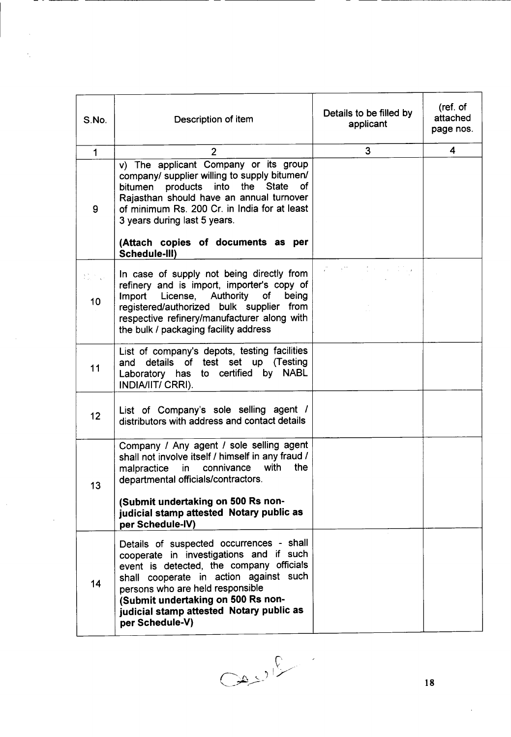| S.No.                                          | Description of item                                                                                                                                                                                                                                                                                                               | Details to be filled by<br>applicant | (ref. of<br>attached<br>page nos. |
|------------------------------------------------|-----------------------------------------------------------------------------------------------------------------------------------------------------------------------------------------------------------------------------------------------------------------------------------------------------------------------------------|--------------------------------------|-----------------------------------|
| $\mathbf{1}$                                   | $\overline{2}$                                                                                                                                                                                                                                                                                                                    | 3                                    | $\overline{\mathbf{4}}$           |
| 9                                              | v) The applicant Company or its group<br>company/ supplier willing to supply bitumen/<br>into<br>the<br>of<br>bitumen products<br><b>State</b><br>Rajasthan should have an annual turnover<br>of minimum Rs. 200 Cr. in India for at least<br>3 years during last 5 years.<br>(Attach copies of documents as per<br>Schedule-III) |                                      |                                   |
| $\sum_{i=1}^n \sum_{j=1}^n \lambda_{ij}$<br>10 | In case of supply not being directly from<br>refinery and is import, importer's copy of<br>Import License, Authority of<br>being<br>registered/authorized bulk supplier from<br>respective refinery/manufacturer along with<br>the bulk / packaging facility address                                                              |                                      |                                   |
| 11                                             | List of company's depots, testing facilities<br>details of test set up (Testing<br>and<br>Laboratory has to certified by NABL<br>INDIA/IIT/ CRRI).                                                                                                                                                                                |                                      |                                   |
| 12 <sub>2</sub>                                | List of Company's sole selling agent /<br>distributors with address and contact details                                                                                                                                                                                                                                           |                                      |                                   |
| 13                                             | Company / Any agent / sole selling agent<br>shall not involve itself / himself in any fraud /<br>with<br>malpractice in connivance<br>the<br>departmental officials/contractors.<br>(Submit undertaking on 500 Rs non-<br>judicial stamp attested Notary public as<br>per Schedule-IV)                                            |                                      |                                   |
| 14                                             | Details of suspected occurrences - shall<br>cooperate in investigations and if such<br>event is detected, the company officials<br>shall cooperate in action against such<br>persons who are held responsible<br>(Submit undertaking on 500 Rs non-<br>judicial stamp attested Notary public as<br>per Schedule-V)                |                                      |                                   |

- -

k,

 $\label{eq:2} \frac{1}{2} \sum_{i=1}^n \frac{1}{2} \sum_{j=1}^n \frac{1}{2} \sum_{j=1}^n \frac{1}{2} \sum_{j=1}^n \frac{1}{2} \sum_{j=1}^n \frac{1}{2} \sum_{j=1}^n \frac{1}{2} \sum_{j=1}^n \frac{1}{2} \sum_{j=1}^n \frac{1}{2} \sum_{j=1}^n \frac{1}{2} \sum_{j=1}^n \frac{1}{2} \sum_{j=1}^n \frac{1}{2} \sum_{j=1}^n \frac{1}{2} \sum_{j=1}^n \frac{1}{$ 

 $\label{eq:1} \frac{1}{\sqrt{2}}\int_{0}^{\infty}\frac{1}{\sqrt{2}}\,d\mu_{\mu}$ 

 $O(10^{10})$ 

 $\sim$ 

- ------------------------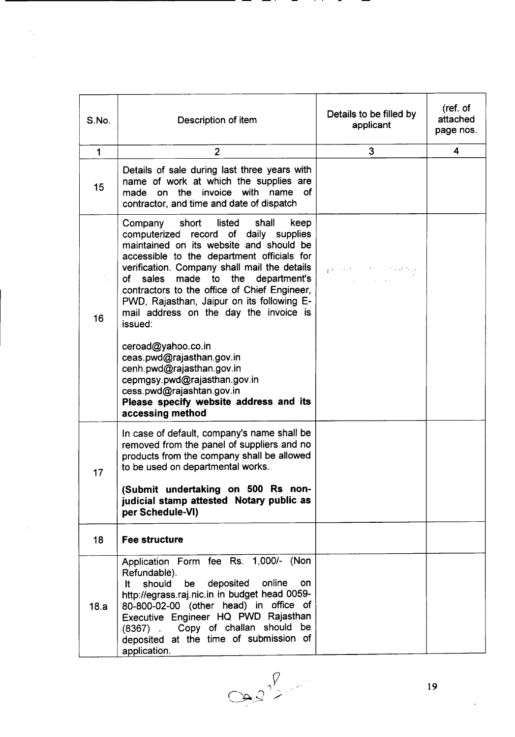| S.No.        | Description of item                                                                                                                                                                                                                                                                                                                                                                                                                                                                                                                | Details to be filled by<br>applicant                                                                                                                                                                                                                                           | (ref. of<br>attached<br>page nos. |
|--------------|------------------------------------------------------------------------------------------------------------------------------------------------------------------------------------------------------------------------------------------------------------------------------------------------------------------------------------------------------------------------------------------------------------------------------------------------------------------------------------------------------------------------------------|--------------------------------------------------------------------------------------------------------------------------------------------------------------------------------------------------------------------------------------------------------------------------------|-----------------------------------|
| $\mathbf{1}$ | $\overline{2}$                                                                                                                                                                                                                                                                                                                                                                                                                                                                                                                     | 3                                                                                                                                                                                                                                                                              | $\overline{\mathbf{4}}$           |
| 15           | Details of sale during last three years with<br>name of work at which the supplies are<br>on the invoice with name<br><b>of</b><br>made<br>contractor, and time and date of dispatch                                                                                                                                                                                                                                                                                                                                               |                                                                                                                                                                                                                                                                                |                                   |
| 16           | Company short listed shall<br>keep<br>computerized record of daily supplies<br>maintained on its website and should be<br>accessible to the department officials for<br>verification. Company shall mail the details<br>sales<br>made to the department's<br>of<br>contractors to the office of Chief Engineer,<br>PWD, Rajasthan, Jaipur on its following E-<br>mail address on the day the invoice is<br>issued:<br>ceroad@yahoo.co.in<br>ceas.pwd@rajasthan.gov.in<br>cenh.pwd@rajasthan.gov.in<br>cepmgsy.pwd@rajasthan.gov.in | $\label{eq:3.1} \int_{\mathbb{R}^2} \mathbf{v} \cdot \nabla \mathbf{v} \, \mathrm{d} \mathbf{P} = \mathbf{v} \cdot \int_{\mathbb{R}^2} \mathbf{v} \cdot \nabla \mathbf{v} \, \mathrm{d} \mathbf{P} \, \mathrm{d} \mathbf{P} \, \mathrm{d} \mathbf{p} \, \mathrm{d} \mathbf{p}$ |                                   |
|              | cess.pwd@rajashtan.gov.in<br>Please specify website address and its<br>accessing method                                                                                                                                                                                                                                                                                                                                                                                                                                            |                                                                                                                                                                                                                                                                                |                                   |
| 17           | In case of default, company's name shall be<br>removed from the panel of suppliers and no<br>products from the company shall be allowed<br>to be used on departmental works.<br>(Submit undertaking on 500 Rs non-<br>judicial stamp attested Notary public as<br>per Schedule-VI)                                                                                                                                                                                                                                                 |                                                                                                                                                                                                                                                                                |                                   |
| 18           | <b>Fee structure</b>                                                                                                                                                                                                                                                                                                                                                                                                                                                                                                               |                                                                                                                                                                                                                                                                                |                                   |
| 18.a         | Application Form fee Rs. 1,000/- (Non<br>Refundable).<br>deposited<br>online<br>should<br>be<br>on<br>lt.<br>http://egrass.raj.nic.in in budget head 0059-<br>80-800-02-00 (other head) in office of<br>Executive Engineer HQ PWD Rajasthan<br>(8367) . Copy of challan should be<br>deposited at the time of submission of<br>application.                                                                                                                                                                                        |                                                                                                                                                                                                                                                                                |                                   |

- 1

 $\hat{\gamma}_s$ 

 $\frac{1}{2}$ 

 $\hat{\mathcal{A}}$ 

. .

-

 $\bar{\mathcal{A}}$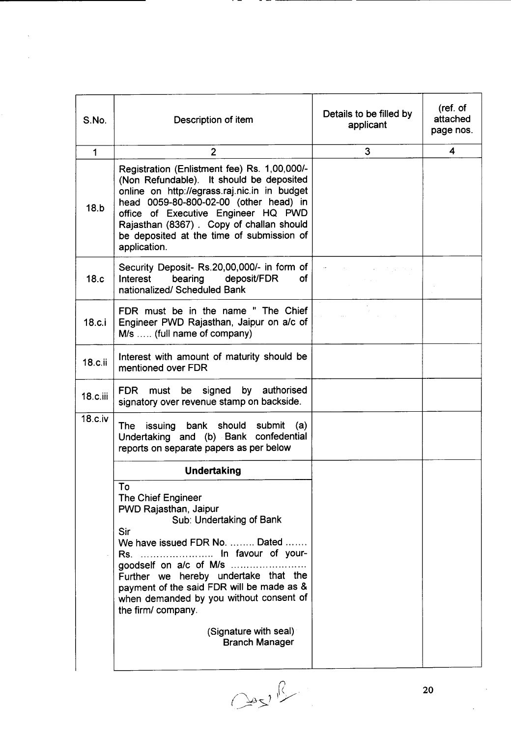| S.No.        | Description of item                                                                                                                                                                                                                                                                                                                                            | Details to be filled by<br>applicant | (ref. of<br>attached<br>page nos. |
|--------------|----------------------------------------------------------------------------------------------------------------------------------------------------------------------------------------------------------------------------------------------------------------------------------------------------------------------------------------------------------------|--------------------------------------|-----------------------------------|
| $\mathbf{1}$ | $\overline{2}$                                                                                                                                                                                                                                                                                                                                                 | 3                                    | 4                                 |
| 18.b         | Registration (Enlistment fee) Rs. 1,00,000/-<br>(Non Refundable). It should be deposited<br>online on http://egrass.raj.nic.in in budget<br>head 0059-80-800-02-00 (other head) in<br>office of Executive Engineer HQ PWD<br>Rajasthan (8367). Copy of challan should<br>be deposited at the time of submission of<br>application.                             |                                      |                                   |
| 18.c         | Security Deposit- Rs.20,00,000/- in form of<br>bearing<br>deposit/FDR<br>Interest<br>of<br>nationalized/ Scheduled Bank                                                                                                                                                                                                                                        |                                      |                                   |
| 18.c.i       | FDR must be in the name "The Chief<br>Engineer PWD Rajasthan, Jaipur on a/c of<br>M/s  (full name of company)                                                                                                                                                                                                                                                  |                                      |                                   |
| 18.c.ii      | Interest with amount of maturity should be<br>mentioned over FDR                                                                                                                                                                                                                                                                                               |                                      |                                   |
| $18.c.$ iii  | by authorised<br><b>FDR</b><br>signed<br>must<br>be<br>signatory over revenue stamp on backside.                                                                                                                                                                                                                                                               |                                      |                                   |
| 18.c.iv      | The issuing bank should submit<br>(a)<br>Undertaking and (b) Bank confedential<br>reports on separate papers as per below                                                                                                                                                                                                                                      |                                      |                                   |
|              | <b>Undertaking</b>                                                                                                                                                                                                                                                                                                                                             |                                      |                                   |
|              | Тο<br>The Chief Engineer<br>PWD Rajasthan, Jaipur<br>Sub: Undertaking of Bank<br><b>Sir</b><br>We have issued FDR No.  Dated<br>Rs.  In favour of your-<br>Further we hereby undertake that the<br>payment of the said FDR will be made as &<br>when demanded by you without consent of<br>the firm/company.<br>(Signature with seal)<br><b>Branch Manager</b> |                                      |                                   |

 $\cdot$   $-$ 

 $\cos\beta$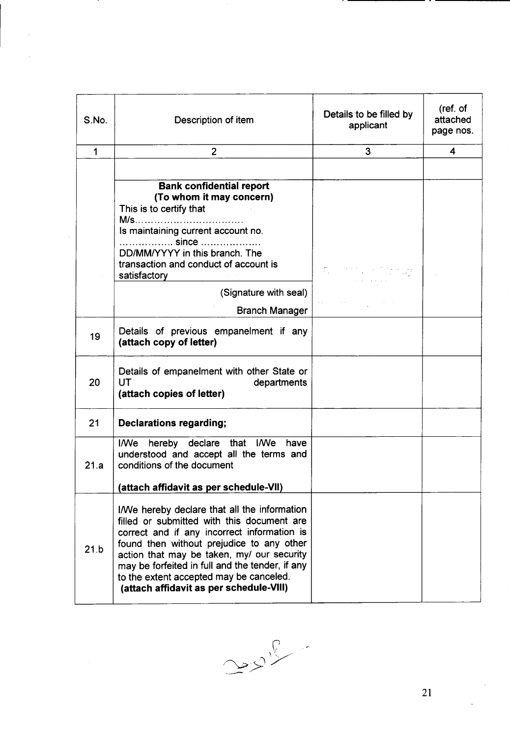| Description of item                                                                                                                                                                                                                                                                                                                                                           | Details to be filled by<br>applicant                                                                                                | (ref. of<br>attached<br>page nos. |
|-------------------------------------------------------------------------------------------------------------------------------------------------------------------------------------------------------------------------------------------------------------------------------------------------------------------------------------------------------------------------------|-------------------------------------------------------------------------------------------------------------------------------------|-----------------------------------|
| $\overline{2}$                                                                                                                                                                                                                                                                                                                                                                | 3 <sup>1</sup>                                                                                                                      | 4                                 |
|                                                                                                                                                                                                                                                                                                                                                                               |                                                                                                                                     |                                   |
| (To whom it may concern)<br>This is to certify that                                                                                                                                                                                                                                                                                                                           |                                                                                                                                     |                                   |
|                                                                                                                                                                                                                                                                                                                                                                               |                                                                                                                                     |                                   |
| DD/MM/YYYY in this branch. The<br>transaction and conduct of account is                                                                                                                                                                                                                                                                                                       | $\overline{\mathbb{C}}^{n-1}$ and $\overline{\mathbb{C}}^{n-1}$ and $\overline{\mathbb{C}}^{n-1}$ and $\overline{\mathbb{C}}^{n-1}$ |                                   |
|                                                                                                                                                                                                                                                                                                                                                                               |                                                                                                                                     |                                   |
|                                                                                                                                                                                                                                                                                                                                                                               |                                                                                                                                     |                                   |
|                                                                                                                                                                                                                                                                                                                                                                               |                                                                                                                                     |                                   |
| Details of previous empanelment if any<br>(attach copy of letter)                                                                                                                                                                                                                                                                                                             |                                                                                                                                     |                                   |
| Details of empanelment with other State or<br>UT<br>departments<br>(attach copies of letter)                                                                                                                                                                                                                                                                                  |                                                                                                                                     |                                   |
| <b>Declarations regarding;</b>                                                                                                                                                                                                                                                                                                                                                |                                                                                                                                     |                                   |
| I/We hereby declare that I/We have<br>understood and accept all the terms and<br>conditions of the document                                                                                                                                                                                                                                                                   |                                                                                                                                     |                                   |
| (attach affidavit as per schedule-VII)                                                                                                                                                                                                                                                                                                                                        |                                                                                                                                     |                                   |
| I/We hereby declare that all the information<br>filled or submitted with this document are<br>correct and if any incorrect information is<br>found then without prejudice to any other<br>action that may be taken, my/ our security<br>may be forfeited in full and the tender, if any<br>to the extent accepted may be canceled.<br>(attach affidavit as per schedule-VIII) |                                                                                                                                     |                                   |
|                                                                                                                                                                                                                                                                                                                                                                               | <b>Bank confidential report</b><br>Is maintaining current account no.<br><b>since</b><br>satisfactory<br>(Signature with seal)      | Branch Manager                    |

 $\sim 20$ 

. .

. .

 $\sim$   $\sim$ 

 $\sim$ 

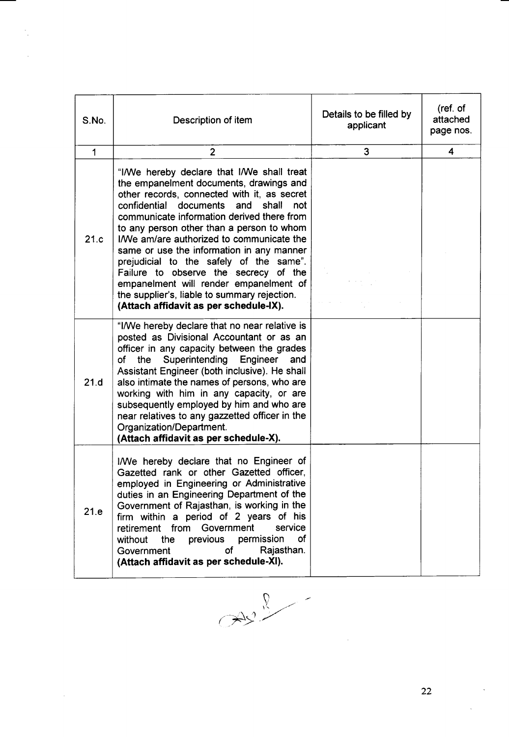| S.No.        | Description of item                                                                                                                                                                                                                                                                                                                                                                                                                                                                                                                                                                             | Details to be filled by<br>applicant | (ref. of<br>attached<br>page nos. |
|--------------|-------------------------------------------------------------------------------------------------------------------------------------------------------------------------------------------------------------------------------------------------------------------------------------------------------------------------------------------------------------------------------------------------------------------------------------------------------------------------------------------------------------------------------------------------------------------------------------------------|--------------------------------------|-----------------------------------|
| $\mathbf{1}$ | $\overline{2}$                                                                                                                                                                                                                                                                                                                                                                                                                                                                                                                                                                                  | 3                                    | 4                                 |
| 21.c         | "I/We hereby declare that I/We shall treat<br>the empanelment documents, drawings and<br>other records, connected with it, as secret<br>confidential documents and<br>shall<br>not<br>communicate information derived there from<br>to any person other than a person to whom<br>I/We am/are authorized to communicate the<br>same or use the information in any manner<br>prejudicial to the safely of the same".<br>Failure to observe the secrecy of the<br>empanelment will render empanelment of<br>the supplier's, liable to summary rejection.<br>(Attach affidavit as per schedule-IX). |                                      |                                   |
| 21.d         | "I/We hereby declare that no near relative is<br>posted as Divisional Accountant or as an<br>officer in any capacity between the grades<br>the Superintending Engineer<br>of<br>and<br>Assistant Engineer (both inclusive). He shall<br>also intimate the names of persons, who are<br>working with him in any capacity, or are<br>subsequently employed by him and who are<br>near relatives to any gazzetted officer in the<br>Organization/Department.<br>(Attach affidavit as per schedule-X).                                                                                              |                                      |                                   |
| 21.e         | I/We hereby declare that no Engineer of<br>Gazetted rank or other Gazetted officer,<br>employed in Engineering or Administrative<br>duties in an Engineering Department of the<br>Government of Rajasthan, is working in the<br>firm within a period of 2 years of his<br>retirement from Government<br>service<br>of<br>previous permission<br>without<br>the<br>of<br>Rajasthan.<br>Government<br>(Attach affidavit as per schedule-XI).                                                                                                                                                      |                                      |                                   |

 $\mathcal{I}_1$ 

 $\cdot$ 

 $\sim$ 

 $\ddot{\phantom{a}}$ 

 $\langle \cdot, \cdot \rangle$ 

 $\ddot{\phantom{a}}$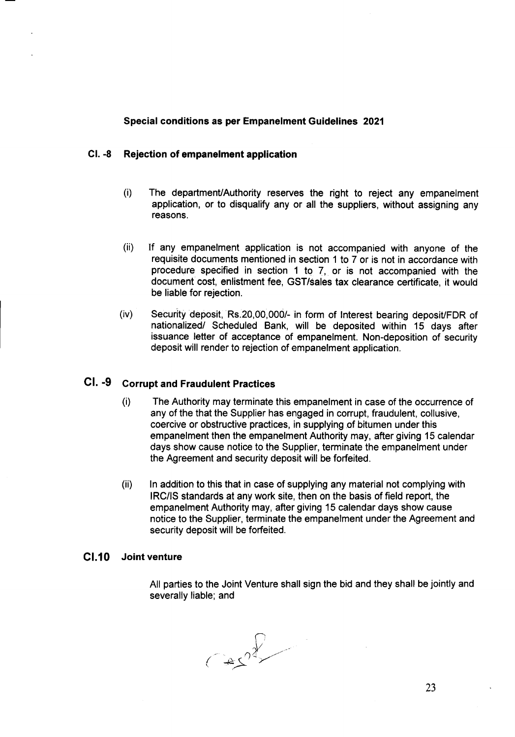### Special conditions as per Empanelment Guidelines 2021

#### CI. -8 Rejection of empanelment application

- (i) The department/Authority reserves the right to reject any empanelment application, or to disqualify any or all the suppliers, without assigning any reasons.
- (ii) If any empanelment application is not accompanied with anyone of the requisite documents mentioned in section 1 to 7 or is not in accordance with procedure specified in section 1 to 7, or is not accompanied with the document cost, enlistment fee, GST/sales tax clearance certificate, it would be liable for rejection.
- $(iv)$  Security deposit,  $Rs.20,00,000/4$  in form of Interest bearing deposit/FDR of nationalized/ Scheduled Bank, will be deposited within 15 days after issuance letter of acceptance of empanelment. Non-deposition of security deposit will render to rejection of empanelment application.

# CI. -9 Corrupt and Fraudulent Practices

- (i) The Authority may terminate this empanelment in case of the occurrence of any of the that the Supplier has engaged in corrupt, fraudulent, collusive, coercive or obstructive practices, in supplying of bitumen under this empanelment then the empanelment Authority may, after giving 15 calendar days show cause notice to the Supplier, terminate the empanelment under the Agreement and security deposit will be forfeited.
- (ii) In addition to this that in case of supplying any material not complying with IRC/IS standards at any work site, then on the basis of field report, the empanelment Authority may, after giving 15 calendar days show cause notice to the Supplier, terminate the empanelment under the Agreement and security deposit will be forfeited.

#### CI.10 Joint venture

All parties to the Joint Venture shall sign the bid and they shall be jointly and severally liable; and

 $(22)^{\frac{1}{2}}$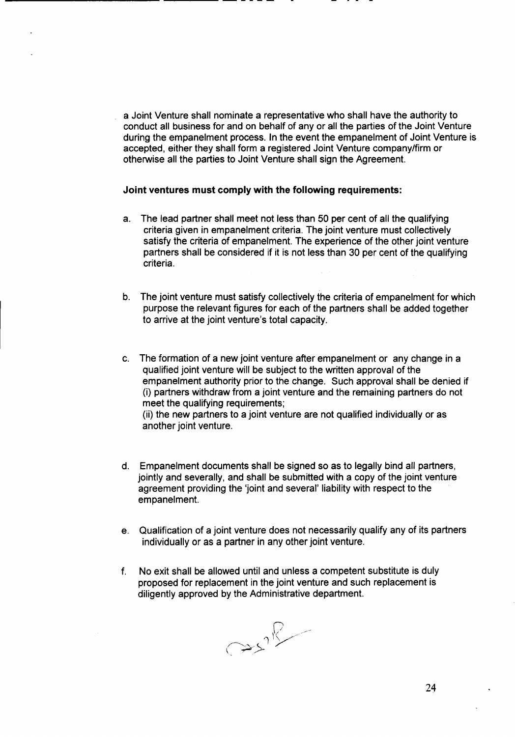a Joint Venture shall nominate a representative who shall have the authority to conduct all business for and on behalf of any or all the parties of the Joint Venture during the empanelment process. In the event the empanelment of Joint Venture is accepted, either they shall form a registered Joint Venture company/firm or otherwise all the parties to Joint Venture shall sign the Agreement.

#### **Joint ventures must comply with the following requirements:**

------------- ----- -- - - - -

- a. The lead partner shall meet not less than 50 per cent of all the qualifying criteria given in empanelment criteria. The joint venture must collectively satisfy the criteria of empanelment. The experience of the other joint venture partners shall be considered if it is not less than 30 per cent of the qualifying criteria.
- b. The joint venture must satisfy collectively the criteria of empanelment for which purpose the relevant figures for each of the partners shall be added together to arrive at the joint venture's total capacity.
- c. The formation of a new joint venture after empanelment or any change in a qualified joint venture will be subject to the written approval of the empanelment authority prior to the change. Such approval shall be denied if (i) partners withdraw from a joint venture and the remaining partners do not meet the qualifying requirements; (ii) the new partners to a joint venture are not qualified individually or as another joint venture.
- d. Empanelment documents shall be signed so as to legally bind all partners, jointly and severally, and shall be submitted with a copy of the joint venture agreement providing the 'joint and several' liability with respect to the empanelment.
- e. Qualification of a joint venture does not necessarily qualify any of its partners individually or as a partner in any other joint venture.
- f. No exit shall be allowed until and unless a competent substitute is duly proposed for replacement in the joint venture and such replacement is diligently approved by the Administrative department.